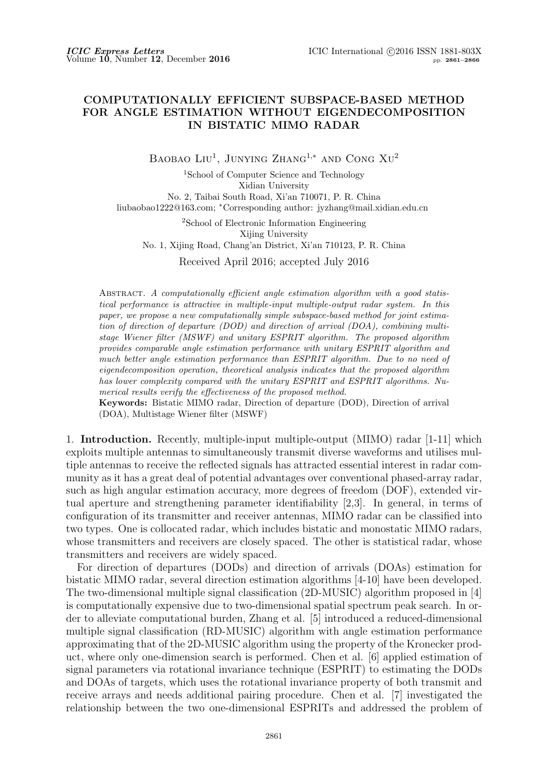## **COMPUTATIONALLY EFFICIENT SUBSPACE-BASED METHOD FOR ANGLE ESTIMATION WITHOUT EIGENDECOMPOSITION IN BISTATIC MIMO RADAR**

BAOBAO LIU<sup>1</sup>, JUNYING ZHANG<sup>1,\*</sup> AND CONG XU<sup>2</sup>

<sup>1</sup>School of Computer Science and Technology Xidian University No. 2, Taibai South Road, Xi'an 710071, P. R. China liubaobao1222@163.com; *<sup>∗</sup>*Corresponding author: jyzhang@mail.xidian.edu.cn

> <sup>2</sup>School of Electronic Information Engineering Xijing University

No. 1, Xijing Road, Chang'an District, Xi'an 710123, P. R. China

Received April 2016; accepted July 2016

Abstract. *A computationally efficient angle estimation algorithm with a good statistical performance is attractive in multiple-input multiple-output radar system. In this paper, we propose a new computationally simple subspace-based method for joint estimation of direction of departure (DOD) and direction of arrival (DOA), combining multistage Wiener filter (MSWF) and unitary ESPRIT algorithm. The proposed algorithm provides comparable angle estimation performance with unitary ESPRIT algorithm and much better angle estimation performance than ESPRIT algorithm. Due to no need of eigendecomposition operation, theoretical analysis indicates that the proposed algorithm has lower complexity compared with the unitary ESPRIT and ESPRIT algorithms. Numerical results verify the effectiveness of the proposed method.*

**Keywords:** Bistatic MIMO radar, Direction of departure (DOD), Direction of arrival (DOA), Multistage Wiener filter (MSWF)

1. **Introduction.** Recently, multiple-input multiple-output (MIMO) radar [1-11] which exploits multiple antennas to simultaneously transmit diverse waveforms and utilises multiple antennas to receive the reflected signals has attracted essential interest in radar community as it has a great deal of potential advantages over conventional phased-array radar, such as high angular estimation accuracy, more degrees of freedom (DOF), extended virtual aperture and strengthening parameter identifiability [2,3]. In general, in terms of configuration of its transmitter and receiver antennas, MIMO radar can be classified into two types. One is collocated radar, which includes bistatic and monostatic MIMO radars, whose transmitters and receivers are closely spaced. The other is statistical radar, whose transmitters and receivers are widely spaced.

For direction of departures (DODs) and direction of arrivals (DOAs) estimation for bistatic MIMO radar, several direction estimation algorithms [4-10] have been developed. The two-dimensional multiple signal classification (2D-MUSIC) algorithm proposed in [4] is computationally expensive due to two-dimensional spatial spectrum peak search. In order to alleviate computational burden, Zhang et al. [5] introduced a reduced-dimensional multiple signal classification (RD-MUSIC) algorithm with angle estimation performance approximating that of the 2D-MUSIC algorithm using the property of the Kronecker product, where only one-dimension search is performed. Chen et al. [6] applied estimation of signal parameters via rotational invariance technique (ESPRIT) to estimating the DODs and DOAs of targets, which uses the rotational invariance property of both transmit and receive arrays and needs additional pairing procedure. Chen et al. [7] investigated the relationship between the two one-dimensional ESPRITs and addressed the problem of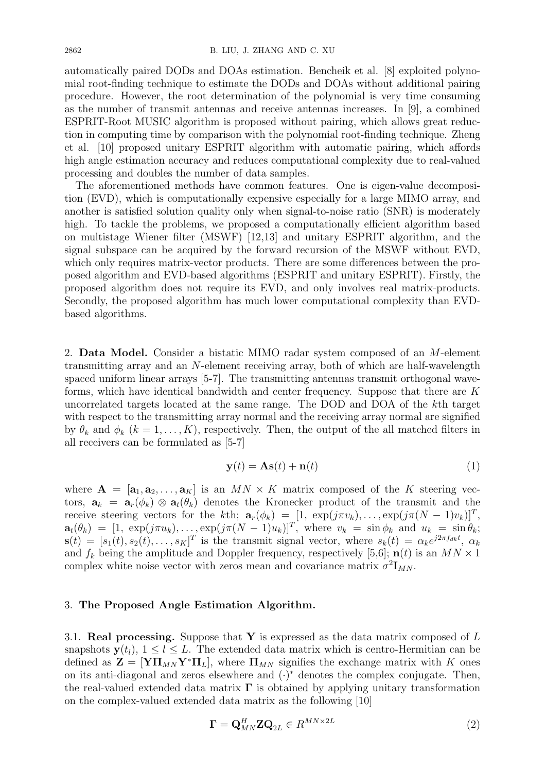automatically paired DODs and DOAs estimation. Bencheik et al. [8] exploited polynomial root-finding technique to estimate the DODs and DOAs without additional pairing procedure. However, the root determination of the polynomial is very time consuming as the number of transmit antennas and receive antennas increases. In [9], a combined ESPRIT-Root MUSIC algorithm is proposed without pairing, which allows great reduction in computing time by comparison with the polynomial root-finding technique. Zheng et al. [10] proposed unitary ESPRIT algorithm with automatic pairing, which affords high angle estimation accuracy and reduces computational complexity due to real-valued processing and doubles the number of data samples.

The aforementioned methods have common features. One is eigen-value decomposition (EVD), which is computationally expensive especially for a large MIMO array, and another is satisfied solution quality only when signal-to-noise ratio (SNR) is moderately high. To tackle the problems, we proposed a computationally efficient algorithm based on multistage Wiener filter (MSWF) [12,13] and unitary ESPRIT algorithm, and the signal subspace can be acquired by the forward recursion of the MSWF without EVD, which only requires matrix-vector products. There are some differences between the proposed algorithm and EVD-based algorithms (ESPRIT and unitary ESPRIT). Firstly, the proposed algorithm does not require its EVD, and only involves real matrix-products. Secondly, the proposed algorithm has much lower computational complexity than EVDbased algorithms.

2. **Data Model.** Consider a bistatic MIMO radar system composed of an *M*-element transmitting array and an *N*-element receiving array, both of which are half-wavelength spaced uniform linear arrays [5-7]. The transmitting antennas transmit orthogonal waveforms, which have identical bandwidth and center frequency. Suppose that there are *K* uncorrelated targets located at the same range. The DOD and DOA of the *k*th target with respect to the transmitting array normal and the receiving array normal are signified by  $\theta_k$  and  $\phi_k$  ( $k = 1, \ldots, K$ ), respectively. Then, the output of the all matched filters in all receivers can be formulated as [5-7]

$$
\mathbf{y}(t) = \mathbf{A}\mathbf{s}(t) + \mathbf{n}(t) \tag{1}
$$

where  $\mathbf{A} = [\mathbf{a}_1, \mathbf{a}_2, \dots, \mathbf{a}_K]$  is an  $MN \times K$  matrix composed of the K steering vectors,  $a_k = a_r(\phi_k) \otimes a_t(\theta_k)$  denotes the Kronecker product of the transmit and the receive steering vectors for the *k*th;  $\mathbf{a}_r(\phi_k) = [1, \exp(j\pi v_k), \dots, \exp(j\pi (N-1)v_k)]^T$ ,  $\mathbf{a}_t(\theta_k) = [1, \exp(j\pi u_k), \dots, \exp(j\pi (N-1)u_k)]^T$ , where  $v_k = \sin \phi_k$  and  $u_k = \sin \theta_k$ ;  $\mathbf{s}(t) = [s_1(t), s_2(t), \dots, s_K]^T$  is the transmit signal vector, where  $s_k(t) = \alpha_k e^{j2\pi f_{dk}t}$ ,  $\alpha_k$ and  $f_k$  being the amplitude and Doppler frequency, respectively [5,6];  $\mathbf{n}(t)$  is an  $MN \times 1$ complex white noise vector with zeros mean and covariance matrix  $\sigma^2 \mathbf{I}_{MN}$ .

## 3. **The Proposed Angle Estimation Algorithm.**

3.1. **Real processing.** Suppose that **Y** is expressed as the data matrix composed of *L* snapshots  $y(t_l)$ ,  $1 \leq l \leq L$ . The extended data matrix which is centro-Hermitian can be defined as  $\mathbf{Z} = [\mathbf{Y}\Pi_{MN}\mathbf{Y}^*\Pi_L]$ , where  $\Pi_{MN}$  signifies the exchange matrix with K ones on its anti-diagonal and zeros elsewhere and (*·*) *<sup>∗</sup>* denotes the complex conjugate. Then, the real-valued extended data matrix **Γ** is obtained by applying unitary transformation on the complex-valued extended data matrix as the following [10]

$$
\mathbf{\Gamma} = \mathbf{Q}_{MN}^H \mathbf{Z} \mathbf{Q}_{2L} \in R^{MN \times 2L}
$$
 (2)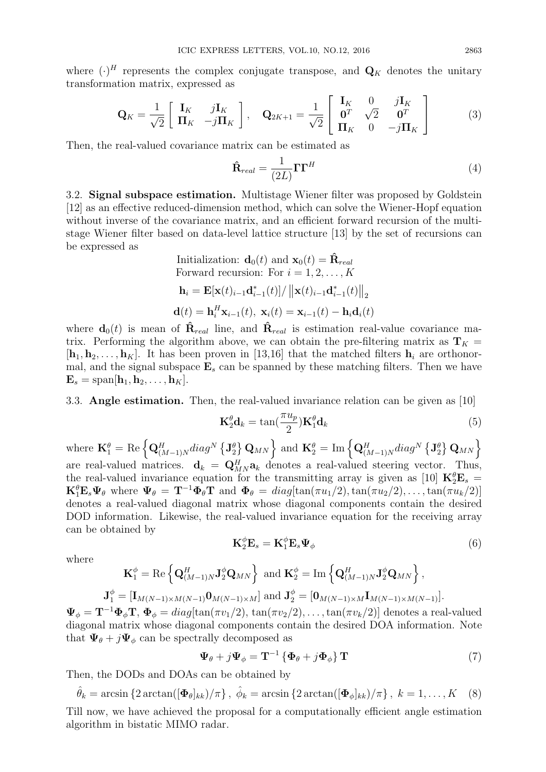where  $(\cdot)^H$  represents the complex conjugate transpose, and  $\mathbf{Q}_K$  denotes the unitary transformation matrix, expressed as

$$
\mathbf{Q}_K = \frac{1}{\sqrt{2}} \begin{bmatrix} \mathbf{I}_K & j\mathbf{I}_K \\ \mathbf{\Pi}_K & -j\mathbf{\Pi}_K \end{bmatrix}, \quad \mathbf{Q}_{2K+1} = \frac{1}{\sqrt{2}} \begin{bmatrix} \mathbf{I}_K & 0 & j\mathbf{I}_K \\ \mathbf{0}^T & \sqrt{2} & \mathbf{0}^T \\ \mathbf{\Pi}_K & 0 & -j\mathbf{\Pi}_K \end{bmatrix}
$$
(3)

Then, the real-valued covariance matrix can be estimated as

$$
\hat{\mathbf{R}}_{real} = \frac{1}{(2L)} \mathbf{\Gamma} \mathbf{\Gamma}^H
$$
\n(4)

3.2. **Signal subspace estimation.** Multistage Wiener filter was proposed by Goldstein [12] as an effective reduced-dimension method, which can solve the Wiener-Hopf equation without inverse of the covariance matrix, and an efficient forward recursion of the multistage Wiener filter based on data-level lattice structure [13] by the set of recursions can be expressed as Initialization: **d**0(*t*) and **x**0(*t*) = **Rˆ***real*

\n Initalization: \n 
$$
\mathbf{d}_0(t)
$$
 \n and \n  $\mathbf{x}_0(t) = \mathbf{R}_{real}$ \n Forward recursion: \n For \n  $i = 1, 2, \ldots, K$ \n

\n\n $\mathbf{h}_i = \mathbf{E}[\mathbf{x}(t)_{i-1}\mathbf{d}_{i-1}^*(t)] / \left\| \mathbf{x}(t)_{i-1}\mathbf{d}_{i-1}^*(t) \right\|_2$ \n

\n\n $\mathbf{d}(t) = \mathbf{h}_i^H \mathbf{x}_{i-1}(t), \ \mathbf{x}_i(t) = \mathbf{x}_{i-1}(t) - \mathbf{h}_i \mathbf{d}_i(t)$ \n

where  $\mathbf{d}_0(t)$  is mean of  $\hat{\mathbf{R}}_{real}$  line, and  $\hat{\mathbf{R}}_{real}$  is estimation real-value covariance matrix. Performing the algorithm above, we can obtain the pre-filtering matrix as  $\mathbf{T}_K =$  $[\mathbf{h}_1, \mathbf{h}_2, \dots, \mathbf{h}_K]$ . It has been proven in [13,16] that the matched filters  $\mathbf{h}_i$  are orthonormal, and the signal subspace  $\mathbf{E}_s$  can be spanned by these matching filters. Then we have  $\mathbf{E}_s = \text{span}[\mathbf{h}_1, \mathbf{h}_2, \dots, \mathbf{h}_K].$ 

## 3.3. **Angle estimation.** Then, the real-valued invariance relation can be given as [10]

$$
\mathbf{K}_2^{\theta} \mathbf{d}_k = \tan(\frac{\pi u_p}{2}) \mathbf{K}_1^{\theta} \mathbf{d}_k
$$
 (5)

 $\mathbf{K}_2^{\phi} \mathbf{E}_s = \mathbf{K}_1^{\phi} \mathbf{E}_s \mathbf{\Psi}_{\phi}$  (6)

where  $\mathbf{K}_1^{\theta} = \text{Re}\left\{ \mathbf{Q}_{(M-1)N}^H diag^N \left\{ \mathbf{J}_2^{\theta} \right\} \mathbf{Q}_{MN} \right\}$  and  $\mathbf{K}_2^{\theta} = \text{Im}\left\{ \mathbf{Q}_{(M-1)N}^H diag^N \left\{ \mathbf{J}_2^{\theta} \right\} \mathbf{Q}_{MN} \right\}$ are real-valued matrices.  $\mathbf{d}_k = \mathbf{Q}_{MN}^H \mathbf{a}_k$  denotes a real-valued steering vector. Thus, the real-valued invariance equation for the transmitting array is given as [10]  $\mathbf{K}^{\theta}_{2}\mathbf{E}_{s}$  =  $\mathbf{K}_1^{\theta} \mathbf{E}_s \Psi_{\theta}$  where  $\Psi_{\theta} = \mathbf{T}^{-1} \Phi_{\theta} \mathbf{T}$  and  $\Phi_{\theta} = diag[tan(\pi u_1/2), \tan(\pi u_2/2), \dots, \tan(\pi u_k/2)]$ denotes a real-valued diagonal matrix whose diagonal components contain the desired DOD information. Likewise, the real-valued invariance equation for the receiving array can be obtained by

where

$$
\mathbf{K}_1^{\phi} = \text{Re}\left\{ \mathbf{Q}_{(M-1)N}^H \mathbf{J}_2^{\phi} \mathbf{Q}_{MN} \right\} \text{ and } \mathbf{K}_2^{\phi} = \text{Im}\left\{ \mathbf{Q}_{(M-1)N}^H \mathbf{J}_2^{\phi} \mathbf{Q}_{MN} \right\},
$$
  

$$
\mathbf{J}_1^{\phi} = [\mathbf{I}_{M(N-1)\times M(N-1)} \mathbf{0}_{M(N-1)\times M}] \text{ and } \mathbf{J}_2^{\phi} = [\mathbf{0}_{M(N-1)\times M} \mathbf{I}_{M(N-1)\times M(N-1)}].
$$

 $\Psi_{\phi} = \mathbf{T}^{-1} \Phi_{\phi} \mathbf{T}, \ \Phi_{\phi} = \text{diag}[\tan(\pi v_1/2), \tan(\pi v_2/2), \ldots, \tan(\pi v_k/2)]$  denotes a real-valued diagonal matrix whose diagonal components contain the desired DOA information. Note that  $\Psi_{\theta} + j \Psi_{\phi}$  can be spectrally decomposed as

$$
\Psi_{\theta} + j\Psi_{\phi} = \mathbf{T}^{-1} \left\{ \Phi_{\theta} + j\Phi_{\phi} \right\} \mathbf{T}
$$
 (7)

Then, the DODs and DOAs can be obtained by

$$
\hat{\theta}_k = \arcsin\left\{2\arctan\left(\left[\boldsymbol{\Phi}_{\theta}\right]_{kk}\right) / \pi\right\}, \ \hat{\phi}_k = \arcsin\left\{2\arctan\left(\left[\boldsymbol{\Phi}_{\phi}\right]_{kk}\right) / \pi\right\}, \ k = 1, \dots, K \quad (8)
$$

Till now, we have achieved the proposal for a computationally efficient angle estimation algorithm in bistatic MIMO radar.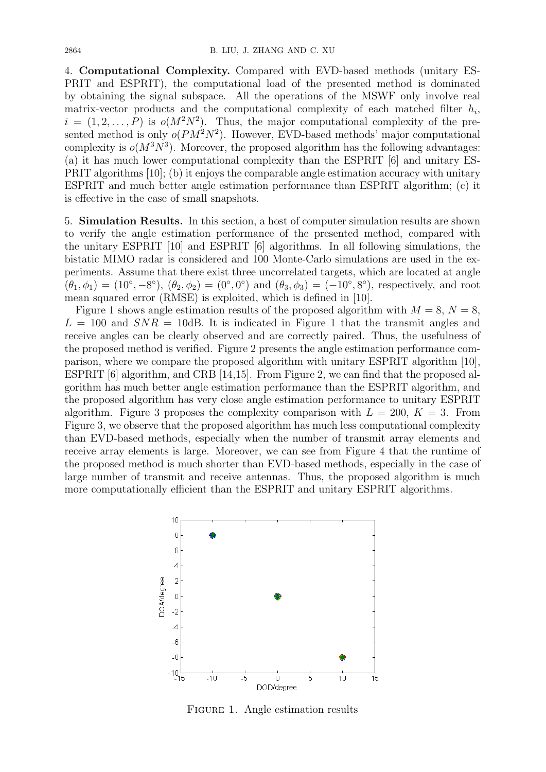4. **Computational Complexity.** Compared with EVD-based methods (unitary ES-PRIT and ESPRIT), the computational load of the presented method is dominated by obtaining the signal subspace. All the operations of the MSWF only involve real matrix-vector products and the computational complexity of each matched filter *h<sup>i</sup>* ,  $i = (1, 2, \ldots, P)$  is  $o(M^2N^2)$ . Thus, the major computational complexity of the presented method is only  $o(PM^2N^2)$ . However, EVD-based methods' major computational complexity is  $o(M^3N^3)$ . Moreover, the proposed algorithm has the following advantages: (a) it has much lower computational complexity than the ESPRIT [6] and unitary ES-PRIT algorithms [10]; (b) it enjoys the comparable angle estimation accuracy with unitary ESPRIT and much better angle estimation performance than ESPRIT algorithm; (c) it is effective in the case of small snapshots.

5. **Simulation Results.** In this section, a host of computer simulation results are shown to verify the angle estimation performance of the presented method, compared with the unitary ESPRIT [10] and ESPRIT [6] algorithms. In all following simulations, the bistatic MIMO radar is considered and 100 Monte-Carlo simulations are used in the experiments. Assume that there exist three uncorrelated targets, which are located at angle  $(\theta_1, \phi_1) = (10^{\circ}, -8^{\circ}), (\theta_2, \phi_2) = (0^{\circ}, 0^{\circ})$  and  $(\theta_3, \phi_3) = (-10^{\circ}, 8^{\circ}),$  respectively, and root mean squared error (RMSE) is exploited, which is defined in [10].

Figure 1 shows angle estimation results of the proposed algorithm with  $M = 8$ ,  $N = 8$ ,  $L = 100$  and  $SNR = 10$ dB. It is indicated in Figure 1 that the transmit angles and receive angles can be clearly observed and are correctly paired. Thus, the usefulness of the proposed method is verified. Figure 2 presents the angle estimation performance comparison, where we compare the proposed algorithm with unitary ESPRIT algorithm [10], ESPRIT [6] algorithm, and CRB [14,15]. From Figure 2, we can find that the proposed algorithm has much better angle estimation performance than the ESPRIT algorithm, and the proposed algorithm has very close angle estimation performance to unitary ESPRIT algorithm. Figure 3 proposes the complexity comparison with  $L = 200, K = 3$ . From Figure 3, we observe that the proposed algorithm has much less computational complexity than EVD-based methods, especially when the number of transmit array elements and receive array elements is large. Moreover, we can see from Figure 4 that the runtime of the proposed method is much shorter than EVD-based methods, especially in the case of large number of transmit and receive antennas. Thus, the proposed algorithm is much more computationally efficient than the ESPRIT and unitary ESPRIT algorithms.



FIGURE 1. Angle estimation results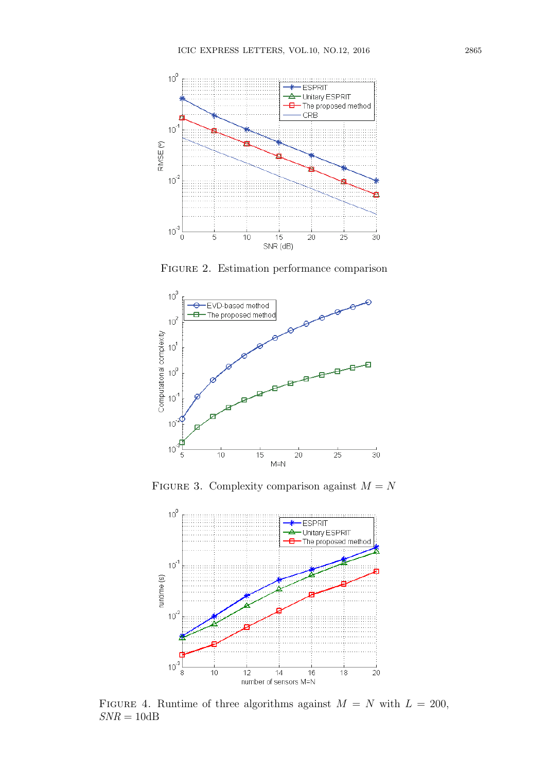

Figure 2. Estimation performance comparison



FIGURE 3. Complexity comparison against  $M = N$ 



FIGURE 4. Runtime of three algorithms against  $M = N$  with  $L = 200$ ,  $\mathit{SNR}=10\mathrm{dB}$